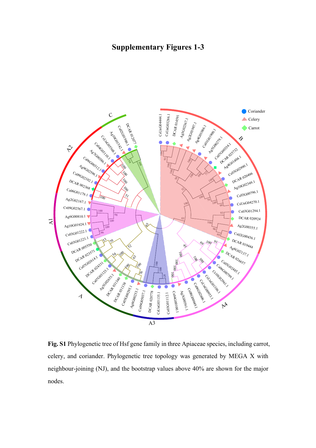## **Supplementary Figures 1-3**



**Fig. S1** Phylogenetic tree of Hsf gene family in three Apiaceae species, including carrot, celery, and coriander. Phylogenetic tree topology was generated by MEGA X with neighbour-joining (NJ), and the bootstrap values above 40% are shown for the major nodes.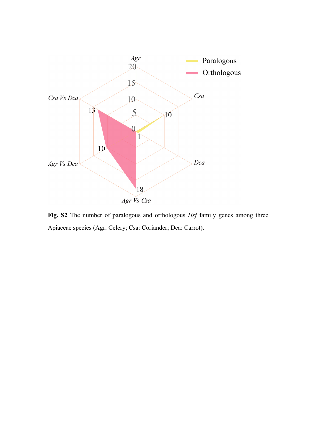

**Fig. S2** The number of paralogous and orthologous *Hsf* family genes among three Apiaceae species (Agr: Celery; Csa: Coriander; Dca: Carrot).